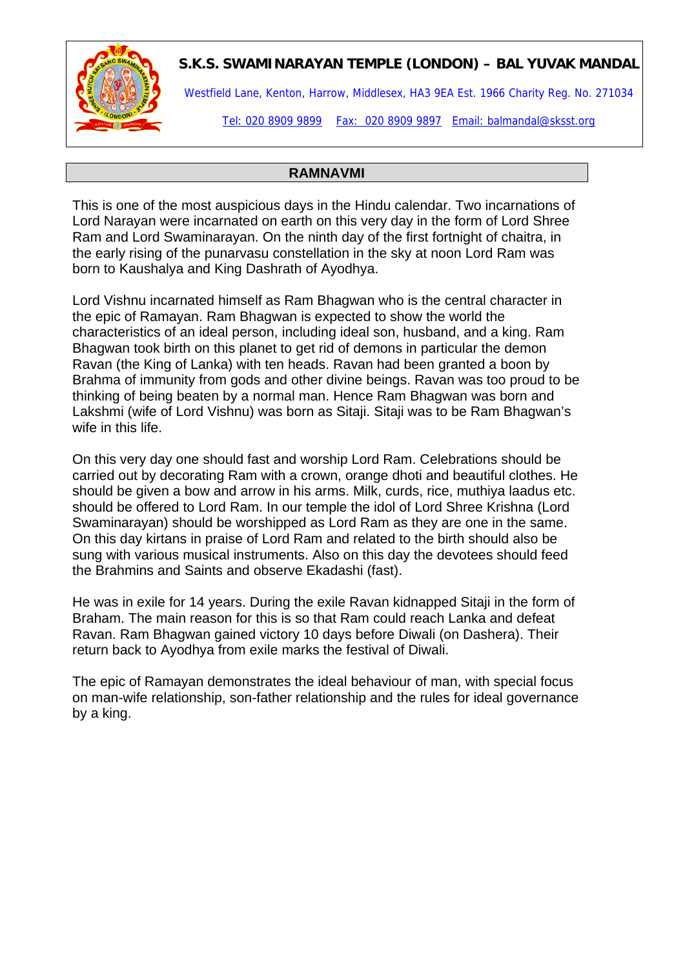## **S.K.S. SWAMINARAYAN TEMPLE (LONDON) – BAL YUVAK MANDAL**

Westfield Lane, Kenton, Harrow, Middlesex, HA3 9EA Est. 1966 Charity Reg. No. 271034

Tel: 020 8909 9899 Fax: 020 8909 9897 Email: balmandal@sksst.org

#### **RAMNAVMI**

This is one of the most auspicious days in the Hindu calendar. Two incarnations of Lord Narayan were incarnated on earth on this very day in the form of Lord Shree Ram and Lord Swaminarayan. On the ninth day of the first fortnight of chaitra, in the early rising of the punarvasu constellation in the sky at noon Lord Ram was born to Kaushalya and King Dashrath of Ayodhya.

Lord Vishnu incarnated himself as Ram Bhagwan who is the central character in [the epic of Ramayan.](http://www.balagokulam.org/kids/ramayana.html) Ram Bhagwan is expected to show the world the characteristics of an ideal person, including ideal son, husband, and a king. Ram Bhagwan took birth on this planet to get rid of demons in particular the demon Ravan (the King of Lanka) with ten heads. Ravan had been granted a boon by Brahma of immunity from gods and other divine beings. Ravan was too proud to be thinking of being beaten by a normal man. Hence Ram Bhagwan was born and Lakshmi (wife of Lord Vishnu) was born as Sitaji. Sitaji was to be Ram Bhagwan's wife in this life.

On this very day one should fast and worship Lord Ram. Celebrations should be carried out by decorating Ram with a crown, orange dhoti and beautiful clothes. He should be given a bow and arrow in his arms. Milk, curds, rice, muthiya laadus etc. should be offered to Lord Ram. In our temple the idol of Lord Shree Krishna (Lord Swaminarayan) should be worshipped as Lord Ram as they are one in the same. On this day kirtans in praise of Lord Ram and related to the birth should also be sung with various musical instruments. Also on this day the devotees should feed the Brahmins and Saints and observe Ekadashi (fast).

He was in exile for 14 years. During the exile Ravan kidnapped Sitaji in the form of Braham. The main reason for this is so that Ram could reach Lanka and defeat Ravan. Ram Bhagwan gained victory 10 days before Diwali (on Dashera). Their return back to Ayodhya from exile marks the festival of Diwali.

The epic of Ramayan demonstrates the ideal behaviour of man, with special focus on man-wife relationship, son-father relationship and the rules for ideal governance by a king.